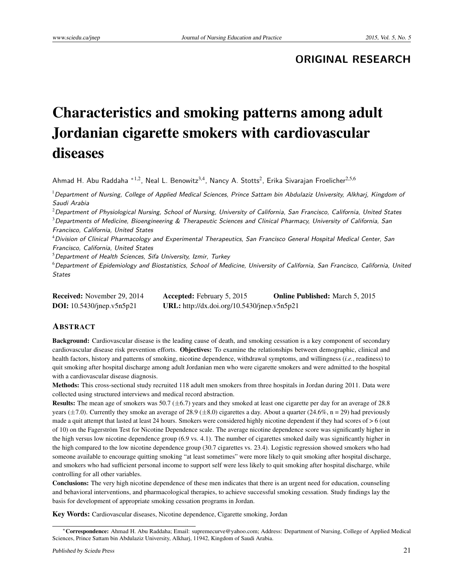**ORIGINAL RESEARCH**

# Characteristics and smoking patterns among adult Jordanian cigarette smokers with cardiovascular diseases

Ahmad H. Abu Raddaha  $^{*1,2}$ , Neal L. Benowitz $^{3,4}$ , Nancy A. Stotts<sup>2</sup>, Erika Sivarajan Froelicher $^{2,5,6}$ 

 $1$  Department of Nursing, College of Applied Medical Sciences, Prince Sattam bin Abdulaziz University, Alkharj, Kingdom of Saudi Arabia

 $2$ Department of Physiological Nursing, School of Nursing, University of California, San Francisco, California, United States  $^3$ Departments of Medicine, Bioengineering & Therapeutic Sciences and Clinical Pharmacy, University of California, San Francisco, California, United States

<sup>4</sup>Division of Clinical Pharmacology and Experimental Therapeutics, San Francisco General Hospital Medical Center, San Francisco, California, United States

 $5$  Department of Health Sciences, Sifa University, Izmir, Turkey

 $6$ Department of Epidemiology and Biostatistics, School of Medicine, University of California, San Francisco, California, United **States** 

| <b>Received:</b> November 29, 2014  | <b>Accepted:</b> February 5, 2015           | <b>Online Published:</b> March 5, 2015 |
|-------------------------------------|---------------------------------------------|----------------------------------------|
| <b>DOI:</b> $10.5430$ /jnep.v5n5p21 | URL: http://dx.doi.org/10.5430/jnep.v5n5p21 |                                        |

# **ABSTRACT**

Background: Cardiovascular disease is the leading cause of death, and smoking cessation is a key component of secondary cardiovascular disease risk prevention efforts. Objectives: To examine the relationships between demographic, clinical and health factors, history and patterns of smoking, nicotine dependence, withdrawal symptoms, and willingness (*i.e.*, readiness) to quit smoking after hospital discharge among adult Jordanian men who were cigarette smokers and were admitted to the hospital with a cardiovascular disease diagnosis.

Methods: This cross-sectional study recruited 118 adult men smokers from three hospitals in Jordan during 2011. Data were collected using structured interviews and medical record abstraction.

**Results:** The mean age of smokers was 50.7 ( $\pm$ 6.7) years and they smoked at least one cigarette per day for an average of 28.8 years ( $\pm$ 7.0). Currently they smoke an average of 28.9 ( $\pm$ 8.0) cigarettes a day. About a quarter (24.6%, n = 29) had previously made a quit attempt that lasted at least 24 hours. Smokers were considered highly nicotine dependent if they had scores of > 6 (out of 10) on the Fagerström Test for Nicotine Dependence scale. The average nicotine dependence score was significantly higher in the high versus low nicotine dependence group (6.9 vs. 4.1). The number of cigarettes smoked daily was significantly higher in the high compared to the low nicotine dependence group (30.7 cigarettes vs. 23.4). Logistic regression showed smokers who had someone available to encourage quitting smoking "at least sometimes" were more likely to quit smoking after hospital discharge, and smokers who had sufficient personal income to support self were less likely to quit smoking after hospital discharge, while controlling for all other variables.

Conclusions: The very high nicotine dependence of these men indicates that there is an urgent need for education, counseling and behavioral interventions, and pharmacological therapies, to achieve successful smoking cessation. Study findings lay the basis for development of appropriate smoking cessation programs in Jordan.

Key Words: Cardiovascular diseases, Nicotine dependence, Cigarette smoking, Jordan

<sup>∗</sup>Correspondence: Ahmad H. Abu Raddaha; Email: supremecurve@yahoo.com; Address: Department of Nursing, College of Applied Medical Sciences, Prince Sattam bin Abdulaziz University, Alkharj, 11942, Kingdom of Saudi Arabia.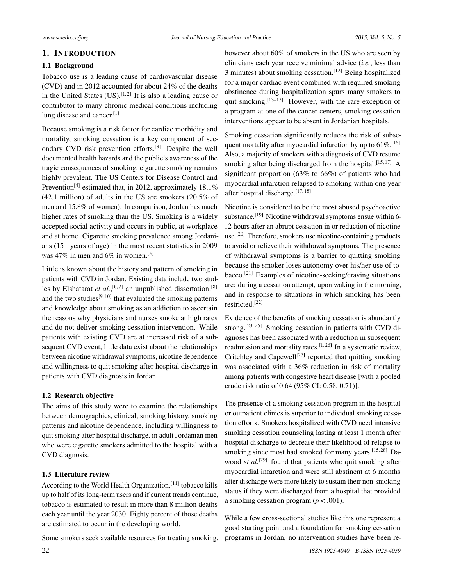#### 1. INTRODUCTION

#### 1.1 Background

Tobacco use is a leading cause of cardiovascular disease (CVD) and in 2012 accounted for about 24% of the deaths in the United States  $(US)$ .<sup>[\[1,](#page-11-0)[2\]](#page-11-1)</sup> It is also a leading cause or contributor to many chronic medical conditions including lung disease and cancer.<sup>[\[1\]](#page-11-0)</sup>

Because smoking is a risk factor for cardiac morbidity and mortality, smoking cessation is a key component of secondary CVD risk prevention efforts.[\[3\]](#page-11-2) Despite the well documented health hazards and the public's awareness of the tragic consequences of smoking, cigarette smoking remains highly prevalent. The US Centers for Disease Control and Prevention<sup>[\[4\]](#page-11-3)</sup> estimated that, in 2012, approximately 18.1% (42.1 million) of adults in the US are smokers (20.5% of men and 15.8% of women). In comparison, Jordan has much higher rates of smoking than the US. Smoking is a widely accepted social activity and occurs in public, at workplace and at home. Cigarette smoking prevalence among Jordanians (15+ years of age) in the most recent statistics in 2009 was 47% in men and 6% in women.<sup>[\[5\]](#page-11-4)</sup>

Little is known about the history and pattern of smoking in patients with CVD in Jordan. Existing data include two studies by Elshatarat *et al.*,<sup>[\[6,](#page-11-5)[7\]](#page-11-6)</sup> an unpublished dissertation;<sup>[\[8\]](#page-11-7)</sup> and the two studies<sup>[\[9,](#page-11-8)[10\]](#page-11-9)</sup> that evaluated the smoking patterns and knowledge about smoking as an addiction to ascertain the reasons why physicians and nurses smoke at high rates and do not deliver smoking cessation intervention. While patients with existing CVD are at increased risk of a subsequent CVD event, little data exist about the relationships between nicotine withdrawal symptoms, nicotine dependence and willingness to quit smoking after hospital discharge in patients with CVD diagnosis in Jordan.

#### 1.2 Research objective

The aims of this study were to examine the relationships between demographics, clinical, smoking history, smoking patterns and nicotine dependence, including willingness to quit smoking after hospital discharge, in adult Jordanian men who were cigarette smokers admitted to the hospital with a CVD diagnosis.

#### 1.3 Literature review

According to the World Health Organization, [\[11\]](#page-11-10) tobacco kills up to half of its long-term users and if current trends continue, tobacco is estimated to result in more than 8 million deaths each year until the year 2030. Eighty percent of those deaths are estimated to occur in the developing world.

Some smokers seek available resources for treating smoking,

however about 60% of smokers in the US who are seen by clinicians each year receive minimal advice (*i.e.*, less than 3 minutes) about smoking cessation.<sup>[\[12\]](#page-11-11)</sup> Being hospitalized for a major cardiac event combined with required smoking abstinence during hospitalization spurs many smokers to quit smoking.<sup>[\[13](#page-11-12)[–15\]](#page-12-0)</sup> However, with the rare exception of a program at one of the cancer centers, smoking cessation interventions appear to be absent in Jordanian hospitals.

Smoking cessation significantly reduces the risk of subsequent mortality after myocardial infarction by up to  $61\%$ .<sup>[\[16\]](#page-12-1)</sup> Also, a majority of smokers with a diagnosis of CVD resume smoking after being discharged from the hospital.<sup>[\[15,](#page-12-0)[17\]](#page-12-2)</sup> A significant proportion (63% to 66%) of patients who had myocardial infarction relapsed to smoking within one year after hospital discharge.[\[17,](#page-12-2) [18\]](#page-12-3)

Nicotine is considered to be the most abused psychoactive substance.<sup>[\[19\]](#page-12-4)</sup> Nicotine withdrawal symptoms ensue within 6-12 hours after an abrupt cessation in or reduction of nicotine use.[\[20\]](#page-12-5) Therefore, smokers use nicotine-containing products to avoid or relieve their withdrawal symptoms. The presence of withdrawal symptoms is a barrier to quitting smoking because the smoker loses autonomy over his/her use of tobacco.[\[21\]](#page-12-6) Examples of nicotine-seeking/craving situations are: during a cessation attempt, upon waking in the morning, and in response to situations in which smoking has been restricted.[\[22\]](#page-12-7)

Evidence of the benefits of smoking cessation is abundantly strong.[\[23](#page-12-8)[–25\]](#page-12-9) Smoking cessation in patients with CVD diagnoses has been associated with a reduction in subsequent readmission and mortality rates.<sup>[\[1,](#page-11-0)[26\]](#page-12-10)</sup> In a systematic review, Critchley and Capewell<sup>[\[27\]](#page-12-11)</sup> reported that quitting smoking was associated with a 36% reduction in risk of mortality among patients with congestive heart disease [with a pooled crude risk ratio of 0.64 (95% CI: 0.58, 0.71)].

The presence of a smoking cessation program in the hospital or outpatient clinics is superior to individual smoking cessation efforts. Smokers hospitalized with CVD need intensive smoking cessation counseling lasting at least 1 month after hospital discharge to decrease their likelihood of relapse to smoking since most had smoked for many years.<sup>[\[15,](#page-12-0)[28\]](#page-12-12)</sup> Dawood *et al.*<sup>[\[29\]](#page-12-13)</sup> found that patients who quit smoking after myocardial infarction and were still abstinent at 6 months after discharge were more likely to sustain their non-smoking status if they were discharged from a hospital that provided a smoking cessation program  $(p < .001)$ .

While a few cross-sectional studies like this one represent a good starting point and a foundation for smoking cessation programs in Jordan, no intervention studies have been re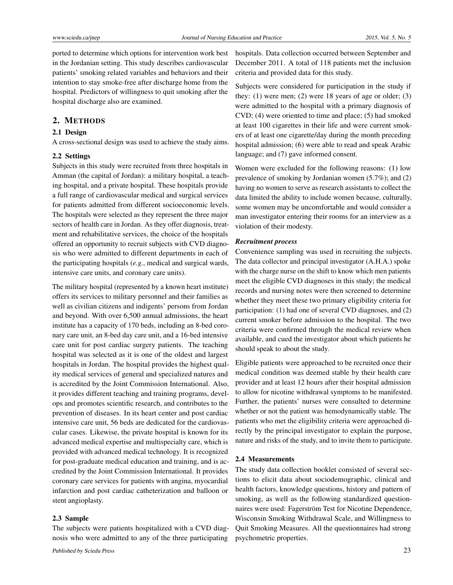ported to determine which options for intervention work best in the Jordanian setting. This study describes cardiovascular patients' smoking related variables and behaviors and their intention to stay smoke-free after discharge home from the hospital. Predictors of willingness to quit smoking after the hospital discharge also are examined.

#### 2. METHODS

#### 2.1 Design

A cross-sectional design was used to achieve the study aims.

#### 2.2 Settings

Subjects in this study were recruited from three hospitals in Amman (the capital of Jordan): a military hospital, a teaching hospital, and a private hospital. These hospitals provide a full range of cardiovascular medical and surgical services for patients admitted from different socioeconomic levels. The hospitals were selected as they represent the three major sectors of health care in Jordan. As they offer diagnosis, treatment and rehabilitative services, the choice of the hospitals offered an opportunity to recruit subjects with CVD diagnosis who were admitted to different departments in each of the participating hospitals (*e.g.*, medical and surgical wards, intensive care units, and coronary care units).

The military hospital (represented by a known heart institute) offers its services to military personnel and their families as well as civilian citizens and indigents' persons from Jordan and beyond. With over 6,500 annual admissions, the heart institute has a capacity of 170 beds, including an 8-bed coronary care unit, an 8-bed day care unit, and a 16-bed intensive care unit for post cardiac surgery patients. The teaching hospital was selected as it is one of the oldest and largest hospitals in Jordan. The hospital provides the highest quality medical services of general and specialized natures and is accredited by the Joint Commission International. Also, it provides different teaching and training programs, develops and promotes scientific research, and contributes to the prevention of diseases. In its heart center and post cardiac intensive care unit, 56 beds are dedicated for the cardiovascular cases. Likewise, the private hospital is known for its advanced medical expertise and multispecialty care, which is provided with advanced medical technology. It is recognized for post-graduate medical education and training, and is accredited by the Joint Commission International. It provides coronary care services for patients with angina, myocardial infarction and post cardiac catheterization and balloon or stent angioplasty.

#### 2.3 Sample

The subjects were patients hospitalized with a CVD diagnosis who were admitted to any of the three participating

hospitals. Data collection occurred between September and December 2011. A total of 118 patients met the inclusion criteria and provided data for this study.

Subjects were considered for participation in the study if they: (1) were men; (2) were 18 years of age or older; (3) were admitted to the hospital with a primary diagnosis of CVD; (4) were oriented to time and place; (5) had smoked at least 100 cigarettes in their life and were current smokers of at least one cigarette/day during the month preceding hospital admission; (6) were able to read and speak Arabic language; and (7) gave informed consent.

Women were excluded for the following reasons: (1) low prevalence of smoking by Jordanian women (5.7%); and (2) having no women to serve as research assistants to collect the data limited the ability to include women because, culturally, some women may be uncomfortable and would consider a man investigator entering their rooms for an interview as a violation of their modesty.

#### *Recruitment process*

Convenience sampling was used in recruiting the subjects. The data collector and principal investigator (A.H.A.) spoke with the charge nurse on the shift to know which men patients meet the eligible CVD diagnoses in this study; the medical records and nursing notes were then screened to determine whether they meet these two primary eligibility criteria for participation: (1) had one of several CVD diagnoses, and (2) current smoker before admission to the hospital. The two criteria were confirmed through the medical review when available, and cued the investigator about which patients he should speak to about the study.

Eligible patients were approached to be recruited once their medical condition was deemed stable by their health care provider and at least 12 hours after their hospital admission to allow for nicotine withdrawal symptoms to be manifested. Further, the patients' nurses were consulted to determine whether or not the patient was hemodynamically stable. The patients who met the eligibility criteria were approached directly by the principal investigator to explain the purpose, nature and risks of the study, and to invite them to participate.

#### 2.4 Measurements

The study data collection booklet consisted of several sections to elicit data about sociodemographic, clinical and health factors, knowledge questions, history and pattern of smoking, as well as the following standardized questionnaires were used: Fagerström Test for Nicotine Dependence, Wisconsin Smoking Withdrawal Scale, and Willingness to Quit Smoking Measures. All the questionnaires had strong psychometric properties.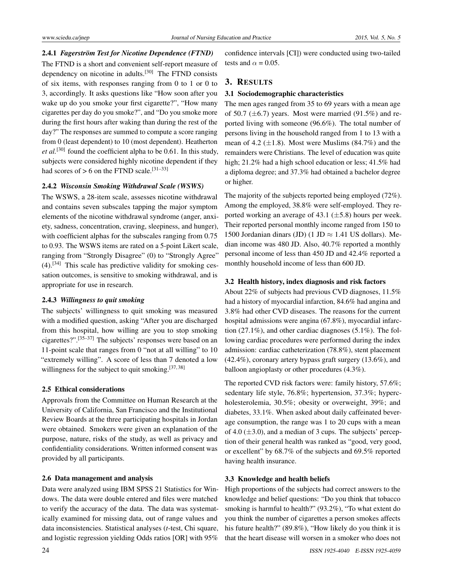#### 2.4.1 *Fagerström Test for Nicotine Dependence (FTND)*

The FTND is a short and convenient self-report measure of dependency on nicotine in adults.<sup>[\[30\]](#page-12-14)</sup> The FTND consists of six items, with responses ranging from 0 to 1 or 0 to 3, accordingly. It asks questions like "How soon after you wake up do you smoke your first cigarette?", "How many cigarettes per day do you smoke?", and "Do you smoke more during the first hours after waking than during the rest of the day?" The responses are summed to compute a score ranging from 0 (least dependent) to 10 (most dependent). Heatherton et al.<sup>[\[30\]](#page-12-14)</sup> found the coefficient alpha to be 0.61. In this study, subjects were considered highly nicotine dependent if they had scores of  $> 6$  on the FTND scale.<sup>[\[31–](#page-12-15)[33\]](#page-12-16)</sup>

#### 2.4.2 *Wisconsin Smoking Withdrawal Scale (WSWS)*

The WSWS, a 28-item scale, assesses nicotine withdrawal and contains seven subscales tapping the major symptom elements of the nicotine withdrawal syndrome (anger, anxiety, sadness, concentration, craving, sleepiness, and hunger), with coefficient alphas for the subscales ranging from 0.75 to 0.93. The WSWS items are rated on a 5-point Likert scale, ranging from "Strongly Disagree" (0) to "Strongly Agree"  $(4)$ .<sup>[\[34\]](#page-12-17)</sup> This scale has predictive validity for smoking cessation outcomes, is sensitive to smoking withdrawal, and is appropriate for use in research.

#### 2.4.3 *Willingness to quit smoking*

The subjects' willingness to quit smoking was measured with a modified question, asking "After you are discharged from this hospital, how willing are you to stop smoking cigarettes?".[\[35–](#page-12-18)[37\]](#page-12-19) The subjects' responses were based on an 11-point scale that ranges from 0 "not at all willing" to 10 "extremely willing". A score of less than 7 denoted a low willingness for the subject to quit smoking.<sup>[\[37,](#page-12-19)[38\]](#page-12-20)</sup>

#### 2.5 Ethical considerations

Approvals from the Committee on Human Research at the University of California, San Francisco and the Institutional Review Boards at the three participating hospitals in Jordan were obtained. Smokers were given an explanation of the purpose, nature, risks of the study, as well as privacy and confidentiality considerations. Written informed consent was provided by all participants.

#### 2.6 Data management and analysis

Data were analyzed using IBM SPSS 21 Statistics for Windows. The data were double entered and files were matched to verify the accuracy of the data. The data was systematically examined for missing data, out of range values and data inconsistencies. Statistical analyses (*t*-test, Chi square, and logistic regression yielding Odds ratios [OR] with 95%

confidence intervals [CI]) were conducted using two-tailed tests and  $\alpha = 0.05$ .

### 3. RESULTS

#### 3.1 Sociodemographic characteristics

The men ages ranged from 35 to 69 years with a mean age of 50.7 ( $\pm$ 6.7) years. Most were married (91.5%) and reported living with someone (96.6%). The total number of persons living in the household ranged from 1 to 13 with a mean of 4.2  $(\pm 1.8)$ . Most were Muslims (84.7%) and the remainders were Christians. The level of education was quite high; 21.2% had a high school education or less; 41.5% had a diploma degree; and 37.3% had obtained a bachelor degree or higher.

The majority of the subjects reported being employed (72%). Among the employed, 38.8% were self-employed. They reported working an average of 43.1 ( $\pm$ 5.8) hours per week. Their reported personal monthly income ranged from 150 to 1500 Jordanian dinars (JD) (1 JD  $\approx$  1.41 US dollars). Median income was 480 JD. Also, 40.7% reported a monthly personal income of less than 450 JD and 42.4% reported a monthly household income of less than 600 JD.

#### 3.2 Health history, index diagnosis and risk factors

About 22% of subjects had previous CVD diagnoses, 11.5% had a history of myocardial infarction, 84.6% had angina and 3.8% had other CVD diseases. The reasons for the current hospital admissions were angina (67.8%), myocardial infarction (27.1%), and other cardiac diagnoses (5.1%). The following cardiac procedures were performed during the index admission: cardiac catheterization (78.8%), stent placement (42.4%), coronary artery bypass graft surgery (13.6%), and balloon angioplasty or other procedures (4.3%).

The reported CVD risk factors were: family history, 57.6%; sedentary life style, 76.8%; hypertension, 37.3%; hypercholesterolemia, 30.5%; obesity or overweight, 39%; and diabetes, 33.1%. When asked about daily caffeinated beverage consumption, the range was 1 to 20 cups with a mean of 4.0 ( $\pm$ 3.0), and a median of 3 cups. The subjects' perception of their general health was ranked as "good, very good, or excellent" by 68.7% of the subjects and 69.5% reported having health insurance.

#### 3.3 Knowledge and health beliefs

High proportions of the subjects had correct answers to the knowledge and belief questions: "Do you think that tobacco smoking is harmful to health?" (93.2%), "To what extent do you think the number of cigarettes a person smokes affects his future health?" (89.8%), "How likely do you think it is that the heart disease will worsen in a smoker who does not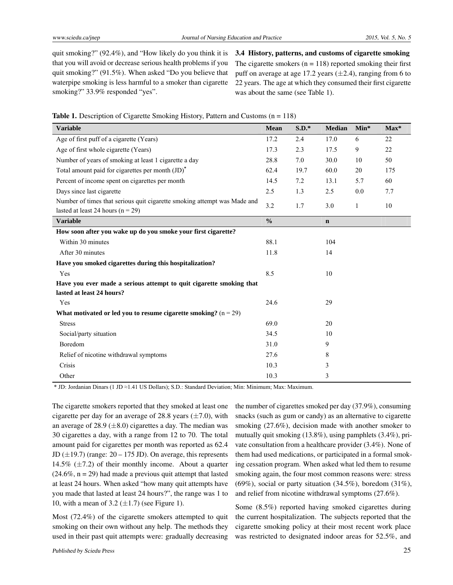quit smoking?" (92.4%), and "How likely do you think it is that you will avoid or decrease serious health problems if you quit smoking?" (91.5%). When asked "Do you believe that waterpipe smoking is less harmful to a smoker than cigarette smoking?" 33.9% responded "yes".

3.4 History, patterns, and customs of cigarette smoking The cigarette smokers  $(n = 118)$  reported smoking their first puff on average at age 17.2 years  $(\pm 2.4)$ , ranging from 6 to 22 years. The age at which they consumed their first cigarette was about the same (see Table 1).

|  |  | <b>Table 1.</b> Description of Cigarette Smoking History, Pattern and Customs $(n = 118)$ |  |
|--|--|-------------------------------------------------------------------------------------------|--|
|  |  |                                                                                           |  |

| <b>Variable</b>                                                                                                   | Mean          | $S.D.*$ | <b>Median</b> | $Min*$ | $Max*$ |
|-------------------------------------------------------------------------------------------------------------------|---------------|---------|---------------|--------|--------|
| Age of first puff of a cigarette (Years)                                                                          | 17.2          | 2.4     | 17.0          | 6      | 22     |
| Age of first whole cigarette (Years)                                                                              | 17.3          | 2.3     | 17.5          | 9      | 22     |
| Number of years of smoking at least 1 cigarette a day                                                             | 28.8          | 7.0     | 30.0          | 10     | 50     |
| Total amount paid for cigarettes per month (JD) <sup>*</sup>                                                      | 62.4          | 19.7    | 60.0          | 20     | 175    |
| Percent of income spent on cigarettes per month                                                                   | 14.5          | 7.2     | 13.1          | 5.7    | 60     |
| Days since last cigarette                                                                                         | 2.5           | 1.3     | 2.5           | 0.0    | 7.7    |
| Number of times that serious quit cigarette smoking attempt was Made and<br>lasted at least 24 hours ( $n = 29$ ) | 3.2           | 1.7     | 3.0           | 1      | 10     |
| <b>Variable</b>                                                                                                   | $\frac{0}{0}$ |         | $\mathbf n$   |        |        |
| How soon after you wake up do you smoke your first cigarette?                                                     |               |         |               |        |        |
| Within 30 minutes                                                                                                 | 88.1          |         | 104           |        |        |
| After 30 minutes                                                                                                  | 11.8          |         | 14            |        |        |
| Have you smoked cigarettes during this hospitalization?                                                           |               |         |               |        |        |
| Yes                                                                                                               | 8.5           |         | 10            |        |        |
| Have you ever made a serious attempt to quit cigarette smoking that                                               |               |         |               |        |        |
| lasted at least 24 hours?                                                                                         |               |         |               |        |        |
| Yes                                                                                                               | 24.6          |         | 29            |        |        |
| What motivated or led you to resume cigarette smoking? $(n = 29)$                                                 |               |         |               |        |        |
| <b>Stress</b>                                                                                                     | 69.0          |         | 20            |        |        |
| Social/party situation                                                                                            | 34.5          |         | 10            |        |        |
| Boredom                                                                                                           | 31.0          |         | 9             |        |        |
| Relief of nicotine withdrawal symptoms                                                                            | 27.6          |         | 8             |        |        |
| Crisis                                                                                                            | 10.3          |         | 3             |        |        |
| Other                                                                                                             | 10.3          |         | 3             |        |        |

\* JD: Jordanian Dinars (1 JD ≈1.41 US Dollars); S.D.: Standard Deviation; Min: Minimum; Max: Maximum.

The cigarette smokers reported that they smoked at least one cigarette per day for an average of 28.8 years  $(\pm 7.0)$ , with an average of 28.9 ( $\pm$ 8.0) cigarettes a day. The median was 30 cigarettes a day, with a range from 12 to 70. The total amount paid for cigarettes per month was reported as 62.4 JD  $(\pm 19.7)$  (range: 20 – 175 JD). On average, this represents 14.5%  $(\pm 7.2)$  of their monthly income. About a quarter  $(24.6\%, n = 29)$  had made a previous quit attempt that lasted at least 24 hours. When asked "how many quit attempts have you made that lasted at least 24 hours?", the range was 1 to 10, with a mean of  $3.2 \ (\pm 1.7)$  (see Figure 1).

Most (72.4%) of the cigarette smokers attempted to quit smoking on their own without any help. The methods they used in their past quit attempts were: gradually decreasing the number of cigarettes smoked per day (37.9%), consuming snacks (such as gum or candy) as an alternative to cigarette smoking (27.6%), decision made with another smoker to mutually quit smoking (13.8%), using pamphlets (3.4%), private consultation from a healthcare provider (3.4%). None of them had used medications, or participated in a formal smoking cessation program. When asked what led them to resume smoking again, the four most common reasons were: stress (69%), social or party situation  $(34.5\%)$ , boredom  $(31\%)$ , and relief from nicotine withdrawal symptoms (27.6%).

Some (8.5%) reported having smoked cigarettes during the current hospitalization. The subjects reported that the cigarette smoking policy at their most recent work place was restricted to designated indoor areas for 52.5%, and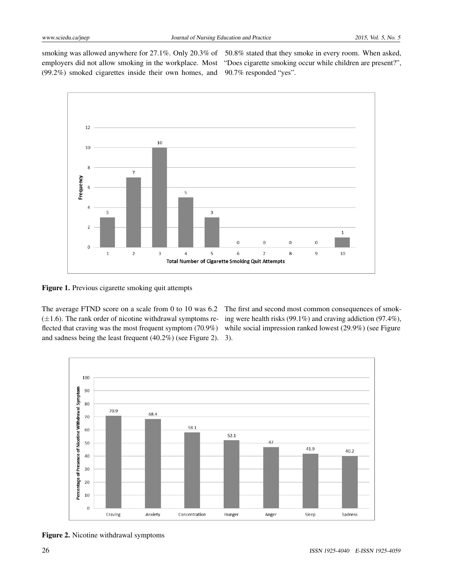(99.2%) smoked cigarettes inside their own homes, and 90.7% responded "yes".

smoking was allowed anywhere for 27.1%. Only 20.3% of 50.8% stated that they smoke in every room. When asked, employers did not allow smoking in the workplace. Most "Does cigarette smoking occur while children are present?",



Figure 1. Previous cigarette smoking quit attempts

 $(\pm 1.6)$ . The rank order of nicotine withdrawal symptoms re- ing were health risks (99.1%) and craving addiction (97.4%), flected that craving was the most frequent symptom (70.9%) while social impression ranked lowest (29.9%) (see Figure and sadness being the least frequent (40.2%) (see Figure 2). 3).

The average FTND score on a scale from 0 to 10 was 6.2 The first and second most common consequences of smok-



Figure 2. Nicotine withdrawal symptoms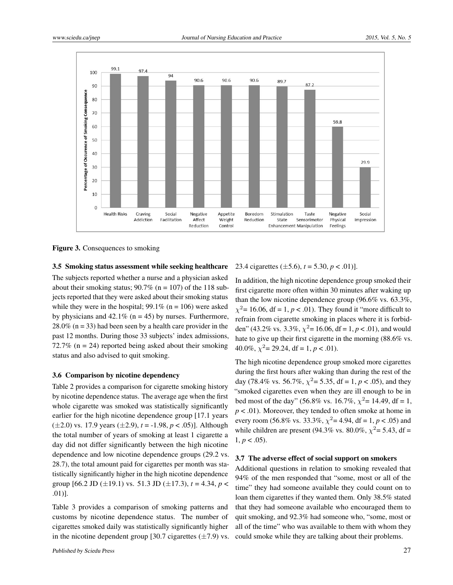

Figure 3. Consequences to smoking

3.5 Smoking status assessment while seeking healthcare The subjects reported whether a nurse and a physician asked about their smoking status;  $90.7\%$  (n = 107) of the 118 subjects reported that they were asked about their smoking status while they were in the hospital;  $99.1\%$  (n = 106) were asked by physicians and  $42.1\%$  (n = 45) by nurses. Furthermore,  $28.0\%$  (n = 33) had been seen by a health care provider in the past 12 months. During those 33 subjects' index admissions, 72.7% ( $n = 24$ ) reported being asked about their smoking status and also advised to quit smoking.

# 3.6 Comparison by nicotine dependency

Table 2 provides a comparison for cigarette smoking history by nicotine dependence status. The average age when the first whole cigarette was smoked was statistically significantly earlier for the high nicotine dependence group [17.1 years (±2.0) vs. 17.9 years (±2.9), *t* = -1.98, *p* < .05)]. Although the total number of years of smoking at least 1 cigarette a day did not differ significantly between the high nicotine dependence and low nicotine dependence groups (29.2 vs. 28.7), the total amount paid for cigarettes per month was statistically significantly higher in the high nicotine dependence group [66.2 JD ( $\pm$ 19.1) vs. 51.3 JD ( $\pm$ 17.3),  $t = 4.34$ ,  $p <$ .01)].

Table 3 provides a comparison of smoking patterns and customs by nicotine dependence status. The number of cigarettes smoked daily was statistically significantly higher in the nicotine dependent group [30.7 cigarettes  $(\pm 7.9)$  vs. 23.4 cigarettes  $(\pm 5.6)$ ,  $t = 5.30$ ,  $p < .01$ ).

In addition, the high nicotine dependence group smoked their first cigarette more often within 30 minutes after waking up than the low nicotine dependence group (96.6% vs. 63.3%,  $\chi^2$  = 16.06, df = 1, *p* < .01). They found it "more difficult to refrain from cigarette smoking in places where it is forbidden" (43.2% vs. 3.3%,  $\chi^2$  = 16.06, df = 1, *p* < .01), and would hate to give up their first cigarette in the morning (88.6% vs. 40.0%,  $\chi^2$  = 29.24, df = 1, *p* < .01).

The high nicotine dependence group smoked more cigarettes during the first hours after waking than during the rest of the day (78.4% vs. 56.7%,  $\chi^2$  = 5.35, df = 1, *p* < .05), and they "smoked cigarettes even when they are ill enough to be in bed most of the day" (56.8% vs. 16.7%,  $\chi^2$  = 14.49, df = 1,  $p < .01$ ). Moreover, they tended to often smoke at home in every room (56.8% vs. 33.3%,  $\chi^2$  = 4.94, df = 1, *p* < .05) and while children are present (94.3% vs. 80.0%,  $\chi^2$  = 5.43, df =  $1, p < .05$ ).

#### 3.7 The adverse effect of social support on smokers

Additional questions in relation to smoking revealed that 94% of the men responded that "some, most or all of the time" they had someone available they could count on to loan them cigarettes if they wanted them. Only 38.5% stated that they had someone available who encouraged them to quit smoking, and 92.3% had someone who, "some, most or all of the time" who was available to them with whom they could smoke while they are talking about their problems.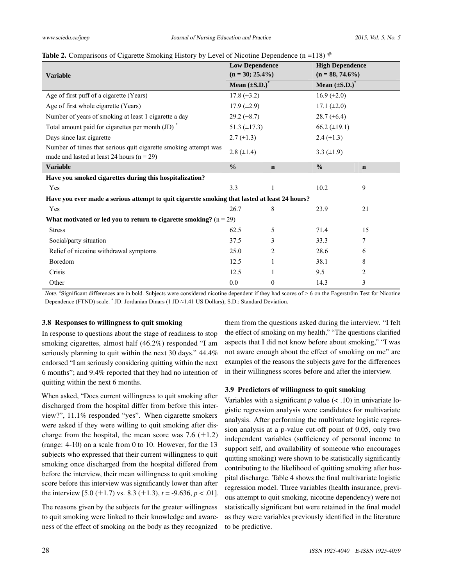|  |  |  |  | <b>Table 2.</b> Comparisons of Cigarette Smoking History by Level of Nicotine Dependence (n = 118) $#$ |
|--|--|--|--|--------------------------------------------------------------------------------------------------------|
|  |  |  |  |                                                                                                        |

| <b>Variable</b>                                                                                                   | <b>Low Dependence</b><br>$(n = 30; 25.4\%)$ |                | <b>High Dependence</b><br>$(n = 88, 74.6\%)$ |             |  |  |
|-------------------------------------------------------------------------------------------------------------------|---------------------------------------------|----------------|----------------------------------------------|-------------|--|--|
|                                                                                                                   | Mean $(\pm S.D.)^*$                         |                | Mean $(\pm S.D.)^*$                          |             |  |  |
| Age of first puff of a cigarette (Years)                                                                          | $17.8 (\pm 3.2)$                            |                | $16.9 \ (\pm 2.0)$                           |             |  |  |
| Age of first whole cigarette (Years)                                                                              | $17.9 \ (\pm 2.9)$                          |                | 17.1 $(\pm 2.0)$                             |             |  |  |
| Number of years of smoking at least 1 cigarette a day                                                             | 29.2 $(\pm 8.7)$                            |                | $28.7 (\pm 6.4)$                             |             |  |  |
| Total amount paid for cigarettes per month (JD) <sup>*</sup>                                                      | 51.3 $(\pm 17.3)$                           |                | $66.2 \ (\pm 19.1)$                          |             |  |  |
| Days since last cigarette                                                                                         | $2.7 \ (\pm 1.3)$                           |                | 2.4 $(\pm 1.3)$                              |             |  |  |
| Number of times that serious quit cigarette smoking attempt was<br>made and lasted at least 24 hours ( $n = 29$ ) | 2.8 $(\pm 1.4)$                             |                | 3.3 $(\pm 1.9)$                              |             |  |  |
| <b>Variable</b>                                                                                                   | $\frac{0}{0}$                               | $\mathbf n$    | $\frac{0}{0}$                                | $\mathbf n$ |  |  |
| Have you smoked cigarettes during this hospitalization?                                                           |                                             |                |                                              |             |  |  |
| Yes                                                                                                               | 3.3<br>1                                    |                | 10.2                                         | 9           |  |  |
| Have you ever made a serious attempt to quit cigarette smoking that lasted at least 24 hours?                     |                                             |                |                                              |             |  |  |
| Yes                                                                                                               | 8<br>26.7                                   |                | 23.9                                         | 21          |  |  |
| What motivated or led you to return to cigarette smoking? $(n = 29)$                                              |                                             |                |                                              |             |  |  |
| <b>Stress</b>                                                                                                     | 62.5                                        | 5              | 71.4                                         | 15          |  |  |
| Social/party situation                                                                                            | 37.5                                        | 3              | 33.3                                         | 7           |  |  |
| Relief of nicotine withdrawal symptoms                                                                            | 25.0                                        | $\overline{c}$ | 28.6                                         | 6           |  |  |
| Boredom                                                                                                           | 12.5                                        | 1              | 38.1                                         | 8           |  |  |
| Crisis                                                                                                            | 12.5                                        | 1              | 9.5                                          | 2           |  |  |
| Other                                                                                                             | 0.0                                         | 0              | 14.3                                         | 3           |  |  |

*Note.* # Significant differences are in bold. Subjects were considered nicotine dependent if they had scores of > 6 on the Fagerström Test for Nicotine Dependence (FTND) scale. \* JD: Jordanian Dinars (1 JD ≈1.41 US Dollars); S.D.: Standard Deviation.

#### 3.8 Responses to willingness to quit smoking

In response to questions about the stage of readiness to stop smoking cigarettes, almost half (46.2%) responded "I am seriously planning to quit within the next 30 days." 44.4% endorsed "I am seriously considering quitting within the next 6 months"; and 9.4% reported that they had no intention of quitting within the next 6 months.

When asked, "Does current willingness to quit smoking after discharged from the hospital differ from before this interview?", 11.1% responded "yes". When cigarette smokers were asked if they were willing to quit smoking after discharge from the hospital, the mean score was 7.6  $(\pm 1.2)$ (range: 4-10) on a scale from 0 to 10. However, for the 13 subjects who expressed that their current willingness to quit smoking once discharged from the hospital differed from before the interview, their mean willingness to quit smoking score before this interview was significantly lower than after the interview [5.0 ( $\pm$ 1.7) vs. 8.3 ( $\pm$ 1.3),  $t = -9.636$ ,  $p < .01$ ].

The reasons given by the subjects for the greater willingness to quit smoking were linked to their knowledge and awareness of the effect of smoking on the body as they recognized them from the questions asked during the interview. "I felt the effect of smoking on my health," "The questions clarified aspects that I did not know before about smoking," "I was not aware enough about the effect of smoking on me" are examples of the reasons the subjects gave for the differences in their willingness scores before and after the interview.

#### 3.9 Predictors of willingness to quit smoking

Variables with a significant  $p$  value  $(< .10)$  in univariate logistic regression analysis were candidates for multivariate analysis. After performing the multivariate logistic regression analysis at a p-value cut-off point of 0.05, only two independent variables (sufficiency of personal income to support self, and availability of someone who encourages quitting smoking) were shown to be statistically significantly contributing to the likelihood of quitting smoking after hospital discharge. Table 4 shows the final multivariate logistic regression model. Three variables (health insurance, previous attempt to quit smoking, nicotine dependency) were not statistically significant but were retained in the final model as they were variables previously identified in the literature to be predictive.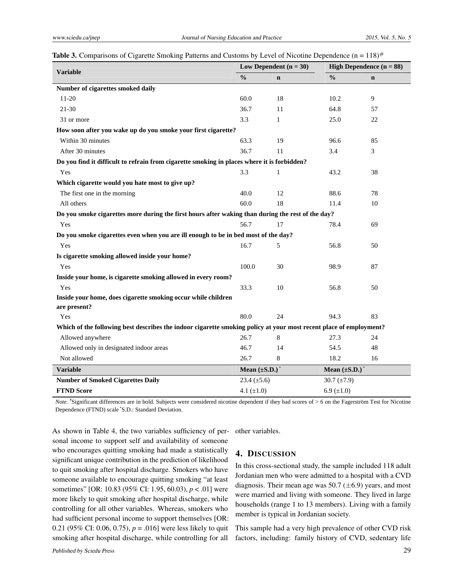# Table 3. Comparisons of Cigarette Smoking Patterns and Customs by Level of Nicotine Dependence (n =  $118$ )<sup>#</sup>

|                                                                                                                    | Low Dependent $(n = 30)$ |              | High Dependence $(n = 88)$ |             |  |
|--------------------------------------------------------------------------------------------------------------------|--------------------------|--------------|----------------------------|-------------|--|
| <b>Variable</b>                                                                                                    | $\frac{0}{0}$            | $\mathbf n$  | $\frac{0}{0}$              | $\mathbf n$ |  |
| Number of cigarettes smoked daily                                                                                  |                          |              |                            |             |  |
| $11-20$                                                                                                            | 60.0                     | 18           | 10.2                       | 9           |  |
| $21 - 30$                                                                                                          | 36.7                     | 11           | 64.8                       | 57          |  |
| 31 or more                                                                                                         | 3.3                      | $\mathbf{1}$ | 25.0                       | 22          |  |
| How soon after you wake up do you smoke your first cigarette?                                                      |                          |              |                            |             |  |
| Within 30 minutes                                                                                                  | 63.3                     | 19           | 96.6                       | 85          |  |
| After 30 minutes                                                                                                   | 36.7                     | 11           | 3.4                        | 3           |  |
| Do you find it difficult to refrain from cigarette smoking in places where it is forbidden?                        |                          |              |                            |             |  |
| Yes                                                                                                                | 3.3                      | 1            | 43.2                       | 38          |  |
| Which cigarette would you hate most to give up?                                                                    |                          |              |                            |             |  |
| The first one in the morning                                                                                       | 40.0                     | 12           | 88.6                       | 78          |  |
| All others                                                                                                         | 60.0                     | 18           | 11.4                       | 10          |  |
| Do you smoke cigarettes more during the first hours after waking than during the rest of the day?                  |                          |              |                            |             |  |
| Yes                                                                                                                | 56.7                     | 17           | 78.4                       | 69          |  |
| Do you smoke cigarettes even when you are ill enough to be in bed most of the day?                                 |                          |              |                            |             |  |
| Yes                                                                                                                | 16.7                     | 5            | 56.8                       | 50          |  |
| Is cigarette smoking allowed inside your home?                                                                     |                          |              |                            |             |  |
| Yes                                                                                                                | 100.0                    | 30           | 98.9                       | 87          |  |
| Inside your home, is cigarette smoking allowed in every room?                                                      |                          |              |                            |             |  |
| Yes                                                                                                                | 33.3                     | 10           | 56.8                       | 50          |  |
| Inside your home, does cigarette smoking occur while children                                                      |                          |              |                            |             |  |
| are present?                                                                                                       |                          |              |                            |             |  |
| Yes                                                                                                                | 80.0                     | 24           | 94.3                       | 83          |  |
| Which of the following best describes the indoor cigarette smoking policy at your most recent place of employment? |                          |              |                            |             |  |
| Allowed anywhere                                                                                                   | 26.7                     | 8            | 27.3                       | 24          |  |
| Allowed only in designated indoor areas                                                                            | 46.7                     | 14           | 54.5                       | 48          |  |
| Not allowed                                                                                                        | 26.7                     | 8            | 18.2                       | 16          |  |
| <b>Variable</b>                                                                                                    | Mean $(\pm S.D.)^*$      |              | Mean $(\pm S.D.)^*$        |             |  |
| <b>Number of Smoked Cigarettes Daily</b>                                                                           | 23.4 $(\pm 5.6)$         |              | 30.7 $(\pm 7.9)$           |             |  |
| <b>FTND Score</b>                                                                                                  | 4.1 $(\pm 1.0)$          |              | 6.9 $(\pm 1.0)$            |             |  |

*Note.* # Significant differences are in bold. Subjects were considered nicotine dependent if they had scores of > 6 on the Fagerström Test for Nicotine Dependence (FTND) scale \*S.D.: Standard Deviation.

As shown in Table 4, the two variables sufficiency of personal income to support self and availability of someone who encourages quitting smoking had made a statistically significant unique contribution in the prediction of likelihood to quit smoking after hospital discharge. Smokers who have someone available to encourage quitting smoking "at least sometimes" [OR: 10.83 (95% CI: 1.95, 60.03), *p* < .01] were more likely to quit smoking after hospital discharge, while controlling for all other variables. Whereas, smokers who had sufficient personal income to support themselves [OR: 0.21 (95% CI: 0.06, 0.75),  $p = .016$ ] were less likely to quit smoking after hospital discharge, while controlling for all

other variables.

# 4. DISCUSSION

In this cross-sectional study, the sample included 118 adult Jordanian men who were admitted to a hospital with a CVD diagnosis. Their mean age was 50.7 ( $\pm$ 6.9) years, and most were married and living with someone. They lived in large households (range 1 to 13 members). Living with a family member is typical in Jordanian society.

This sample had a very high prevalence of other CVD risk factors, including: family history of CVD, sedentary life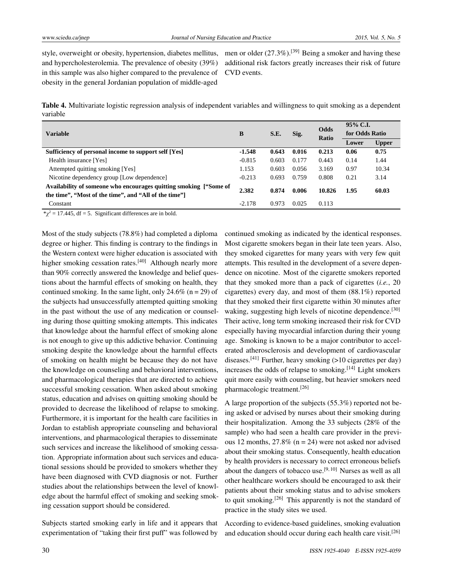and hypercholesterolemia. The prevalence of obesity (39%) in this sample was also higher compared to the prevalence of obesity in the general Jordanian population of middle-aged

style, overweight or obesity, hypertension, diabetes mellitus, men or older (27.3%).<sup>[\[39\]](#page-12-21)</sup> Being a smoker and having these additional risk factors greatly increases their risk of future CVD events.

Table 4. Multivariate logistic regression analysis of independent variables and willingness to quit smoking as a dependent variable

|                                                                   |          |       |       |               | 95% C.I.       |              |
|-------------------------------------------------------------------|----------|-------|-------|---------------|----------------|--------------|
| <b>Variable</b>                                                   |          | S.E.  | Sig.  | Odds<br>Ratio | for Odds Ratio |              |
|                                                                   |          |       |       |               | Lower          | <b>Upper</b> |
| Sufficiency of personal income to support self [Yes]              | $-1.548$ | 0.643 | 0.016 | 0.213         | 0.06           | 0.75         |
| Health insurance [Yes]                                            | $-0.815$ | 0.603 | 0.177 | 0.443         | 0.14           | 1.44         |
| Attempted quitting smoking [Yes]                                  | 1.153    | 0.603 | 0.056 | 3.169         | 0.97           | 10.34        |
| Nicotine dependency group [Low dependence]                        | $-0.213$ | 0.693 | 0.759 | 0.808         | 0.21           | 3.14         |
| Availability of someone who encourages quitting smoking ["Some of |          | 0.874 | 0.006 |               | 1.95           | 60.03        |
| the time", "Most of the time", and "All of the time"              | 2.382    |       |       | 10.826        |                |              |
| Constant                                                          | $-2.178$ | 0.973 | 0.025 | 0.113         |                |              |

 $*\chi^2 = 17.445$ , df = 5. Significant differences are in bold.

Most of the study subjects (78.8%) had completed a diploma degree or higher. This finding is contrary to the findings in the Western context were higher education is associated with higher smoking cessation rates.<sup>[\[40\]](#page-12-22)</sup> Although nearly more than 90% correctly answered the knowledge and belief questions about the harmful effects of smoking on health, they continued smoking. In the same light, only 24.6% ( $n = 29$ ) of the subjects had unsuccessfully attempted quitting smoking in the past without the use of any medication or counseling during those quitting smoking attempts. This indicates that knowledge about the harmful effect of smoking alone is not enough to give up this addictive behavior. Continuing smoking despite the knowledge about the harmful effects of smoking on health might be because they do not have the knowledge on counseling and behavioral interventions, and pharmacological therapies that are directed to achieve successful smoking cessation. When asked about smoking status, education and advises on quitting smoking should be provided to decrease the likelihood of relapse to smoking. Furthermore, it is important for the health care facilities in Jordan to establish appropriate counseling and behavioral interventions, and pharmacological therapies to disseminate such services and increase the likelihood of smoking cessation. Appropriate information about such services and educational sessions should be provided to smokers whether they have been diagnosed with CVD diagnosis or not. Further studies about the relationships between the level of knowledge about the harmful effect of smoking and seeking smoking cessation support should be considered.

Subjects started smoking early in life and it appears that experimentation of "taking their first puff" was followed by continued smoking as indicated by the identical responses. Most cigarette smokers began in their late teen years. Also, they smoked cigarettes for many years with very few quit attempts. This resulted in the development of a severe dependence on nicotine. Most of the cigarette smokers reported that they smoked more than a pack of cigarettes (*i.e.*, 20 cigarettes) every day, and most of them (88.1%) reported that they smoked their first cigarette within 30 minutes after waking, suggesting high levels of nicotine dependence.<sup>[\[30\]](#page-12-14)</sup> Their active, long term smoking increased their risk for CVD especially having myocardial infarction during their young age. Smoking is known to be a major contributor to accelerated atherosclerosis and development of cardiovascular diseases.<sup>[\[41\]](#page-12-23)</sup> Further, heavy smoking  $(>10$  cigarettes per day) increases the odds of relapse to smoking.<sup>[\[14\]](#page-12-24)</sup> Light smokers quit more easily with counseling, but heavier smokers need pharmacologic treatment.[\[26\]](#page-12-10)

A large proportion of the subjects (55.3%) reported not being asked or advised by nurses about their smoking during their hospitalization. Among the 33 subjects (28% of the sample) who had seen a health care provider in the previous 12 months,  $27.8\%$  (n = 24) were not asked nor advised about their smoking status. Consequently, health education by health providers is necessary to correct erroneous beliefs about the dangers of tobacco use.<sup>[\[9,](#page-11-8) [10\]](#page-11-9)</sup> Nurses as well as all other healthcare workers should be encouraged to ask their patients about their smoking status and to advise smokers to quit smoking.[\[26\]](#page-12-10) This apparently is not the standard of practice in the study sites we used.

According to evidence-based guidelines, smoking evaluation and education should occur during each health care visit.<sup>[\[26\]](#page-12-10)</sup>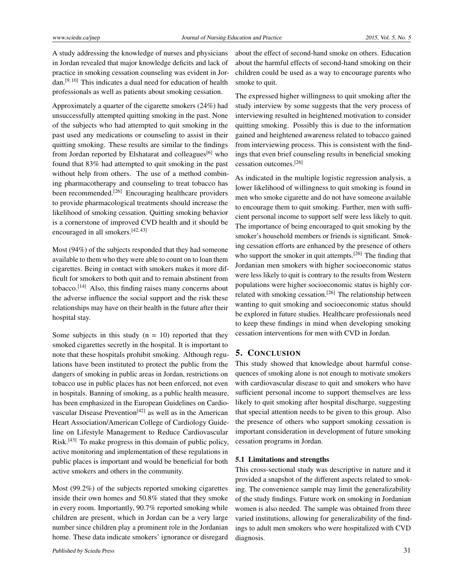A study addressing the knowledge of nurses and physicians in Jordan revealed that major knowledge deficits and lack of practice in smoking cessation counseling was evident in Jordan.[\[9,](#page-11-8) [10\]](#page-11-9) This indicates a dual need for education of health professionals as well as patients about smoking cessation.

Approximately a quarter of the cigarette smokers (24%) had unsuccessfully attempted quitting smoking in the past. None of the subjects who had attempted to quit smoking in the past used any medications or counseling to assist in their quitting smoking. These results are similar to the findings from Jordan reported by Elshatarat and colleagues<sup>[\[6\]](#page-11-5)</sup> who found that 83% had attempted to quit smoking in the past without help from others. The use of a method combining pharmacotherapy and counseling to treat tobacco has been recommended.<sup>[\[26\]](#page-12-10)</sup> Encouraging healthcare providers to provide pharmacological treatments should increase the likelihood of smoking cessation. Quitting smoking behavior is a cornerstone of improved CVD health and it should be encouraged in all smokers.[\[42,](#page-12-25) [43\]](#page-13-0)

Most (94%) of the subjects responded that they had someone available to them who they were able to count on to loan them cigarettes. Being in contact with smokers makes it more difficult for smokers to both quit and to remain abstinent from tobacco.[\[14\]](#page-12-24) Also, this finding raises many concerns about the adverse influence the social support and the risk these relationships may have on their health in the future after their hospital stay.

Some subjects in this study  $(n = 10)$  reported that they smoked cigarettes secretly in the hospital. It is important to note that these hospitals prohibit smoking. Although regulations have been instituted to protect the public from the dangers of smoking in public areas in Jordan, restrictions on tobacco use in public places has not been enforced, not even in hospitals. Banning of smoking, as a public health measure, has been emphasized in the European Guidelines on Cardio-vascular Disease Prevention<sup>[\[42\]](#page-12-25)</sup> as well as in the American Heart Association/American College of Cardiology Guideline on Lifestyle Management to Reduce Cardiovascular Risk.[\[43\]](#page-13-0) To make progress in this domain of public policy, active monitoring and implementation of these regulations in public places is important and would be beneficial for both active smokers and others in the community.

Most (99.2%) of the subjects reported smoking cigarettes inside their own homes and 50.8% stated that they smoke in every room. Importantly, 90.7% reported smoking while children are present, which in Jordan can be a very large number since children play a prominent role in the Jordanian home. These data indicate smokers' ignorance or disregard

The expressed higher willingness to quit smoking after the study interview by some suggests that the very process of interviewing resulted in heightened motivation to consider quitting smoking. Possibly this is due to the information gained and heightened awareness related to tobacco gained from interviewing process. This is consistent with the findings that even brief counseling results in beneficial smoking cessation outcomes.[\[26\]](#page-12-10)

As indicated in the multiple logistic regression analysis, a lower likelihood of willingness to quit smoking is found in men who smoke cigarette and do not have someone available to encourage them to quit smoking. Further, men with sufficient personal income to support self were less likely to quit. The importance of being encouraged to quit smoking by the smoker's household members or friends is significant. Smoking cessation efforts are enhanced by the presence of others who support the smoker in quit attempts.<sup>[\[26\]](#page-12-10)</sup> The finding that Jordanian men smokers with higher socioeconomic status were less likely to quit is contrary to the results from Western populations were higher socioeconomic status is highly cor-related with smoking cessation.<sup>[\[26\]](#page-12-10)</sup> The relationship between wanting to quit smoking and socioeconomic status should be explored in future studies. Healthcare professionals need to keep these findings in mind when developing smoking cessation interventions for men with CVD in Jordan.

# 5. CONCLUSION

This study showed that knowledge about harmful consequences of smoking alone is not enough to motivate smokers with cardiovascular disease to quit and smokers who have sufficient personal income to support themselves are less likely to quit smoking after hospital discharge, suggesting that special attention needs to be given to this group. Also the presence of others who support smoking cessation is important consideration in development of future smoking cessation programs in Jordan.

#### 5.1 Limitations and strengths

This cross-sectional study was descriptive in nature and it provided a snapshot of the different aspects related to smoking. The convenience sample may limit the generalizability of the study findings. Future work on smoking in Jordanian women is also needed. The sample was obtained from three varied institutions, allowing for generalizability of the findings to adult men smokers who were hospitalized with CVD diagnosis.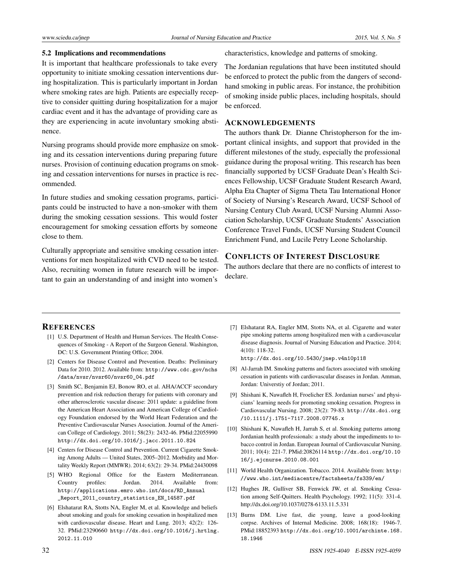#### 5.2 Implications and recommendations

It is important that healthcare professionals to take every opportunity to initiate smoking cessation interventions during hospitalization. This is particularly important in Jordan where smoking rates are high. Patients are especially receptive to consider quitting during hospitalization for a major cardiac event and it has the advantage of providing care as they are experiencing in acute involuntary smoking abstinence.

Nursing programs should provide more emphasize on smoking and its cessation interventions during preparing future nurses. Provision of continuing education programs on smoking and cessation interventions for nurses in practice is recommended.

In future studies and smoking cessation programs, participants could be instructed to have a non-smoker with them during the smoking cessation sessions. This would foster encouragement for smoking cessation efforts by someone close to them.

Culturally appropriate and sensitive smoking cessation interventions for men hospitalized with CVD need to be tested. Also, recruiting women in future research will be important to gain an understanding of and insight into women's

characteristics, knowledge and patterns of smoking.

The Jordanian regulations that have been instituted should be enforced to protect the public from the dangers of secondhand smoking in public areas. For instance, the prohibition of smoking inside public places, including hospitals, should be enforced.

#### ACKNOWLEDGEMENTS

The authors thank Dr. Dianne Christopherson for the important clinical insights, and support that provided in the different milestones of the study, especially the professional guidance during the proposal writing. This research has been financially supported by UCSF Graduate Dean's Health Sciences Fellowship, UCSF Graduate Student Research Award, Alpha Eta Chapter of Sigma Theta Tau International Honor of Society of Nursing's Research Award, UCSF School of Nursing Century Club Award, UCSF Nursing Alumni Association Scholarship, UCSF Graduate Students' Association Conference Travel Funds, UCSF Nursing Student Council Enrichment Fund, and Lucile Petry Leone Scholarship.

# CONFLICTS OF INTEREST DISCLOSURE

The authors declare that there are no conflicts of interest to declare.

#### **REFERENCES**

- <span id="page-11-0"></span>[1] U.S. Department of Health and Human Services. The Health Consequences of Smoking - A Report of the Surgeon General. Washington, DC: U.S. Government Printing Office; 2004.
- <span id="page-11-1"></span>[2] Centers for Disease Control and Prevention. Deaths: Preliminary Data for 2010. 2012. Available from: [http://www.cdc.gov/nchs](http://www.cdc.gov/nchs/data/nvsr/nvsr60/nvsr60_04.pdf) [/data/nvsr/nvsr60/nvsr60\\_04.pdf](http://www.cdc.gov/nchs/data/nvsr/nvsr60/nvsr60_04.pdf)
- <span id="page-11-2"></span>[3] Smith SC, Benjamin EJ, Bonow RO, et al. AHA/ACCF secondary prevention and risk reduction therapy for patients with coronary and other atherosclerotic vascular disease: 2011 update: a guideline from the American Heart Association and American College of Cardiology Foundation endorsed by the World Heart Federation and the Preventive Cardiovascular Nurses Association. Journal of the American College of Cardiology. 2011; 58(23): 2432-46. PMid:22055990 <http://dx.doi.org/10.1016/j.jacc.2011.10.824>
- <span id="page-11-3"></span>[4] Centers for Disease Control and Prevention. Current Cigarette Smoking Among Adults — United States, 2005–2012. Morbidity and Mortality Weekly Report (MMWR). 2014; 63(2): 29-34. PMid:24430098
- <span id="page-11-4"></span>[5] WHO Regional Office for the Eastern Mediterranean. Country profiles: Jordan. 2014. Available from: [http://applications.emro.who.int/docs/RD\\_Annual](http://applications.emro.who.int/docs/RD_Annual_Report_2011_country_statistics_EN_14587.pdf) [\\_Report\\_2011\\_country\\_statistics\\_EN\\_14587.pdf](http://applications.emro.who.int/docs/RD_Annual_Report_2011_country_statistics_EN_14587.pdf)
- <span id="page-11-5"></span>[6] Elshatarat RA, Stotts NA, Engler M, et al. Knowledge and beliefs about smoking and goals for smoking cessation in hospitalized men with cardiovascular disease. Heart and Lung. 2013; 42(2): 126- 32. PMid:23290660 [http://dx.doi.org/10.1016/j.hrtlng.](http://dx.doi.org/10.1016/j.hrtlng.2012.11.010) [2012.11.010](http://dx.doi.org/10.1016/j.hrtlng.2012.11.010)

<span id="page-11-6"></span>[7] Elshatarat RA, Engler MM, Stotts NA, et al. Cigarette and water pipe smoking patterns among hospitalized men with a cardiovascular disease diagnosis. Journal of Nursing Education and Practice. 2014; 4(10): 118-32.

<http://dx.doi.org/10.5430/jnep.v4n10p118>

- <span id="page-11-7"></span>[8] Al-Jarrah IM. Smoking patterns and factors associated with smoking cessation in patients with cardiovascular diseases in Jordan. Amman, Jordan: Universtiy of Jordan; 2011.
- <span id="page-11-8"></span>[9] Shishani K, Nawafleh H, Froelicher ES. Jordanian nurses' and physicians' learning needs for promoting smoking cessation. Progress in Cardiovascular Nursing. 2008; 23(2): 79-83. [http://dx.doi.org](http://dx.doi.org/10.1111/j.1751-7117.2008.07745.x) [/10.1111/j.1751-7117.2008.07745.x](http://dx.doi.org/10.1111/j.1751-7117.2008.07745.x)
- <span id="page-11-9"></span>[10] Shishani K, Nawafleh H, Jarrah S, et al. Smoking patterns among Jordanian health professionals: a study about the impediments to tobacco control in Jordan. European Journal of Cardiovascular Nursing. 2011; 10(4): 221-7. PMid:20826114 [http://dx.doi.org/10.10](http://dx.doi.org/10.1016/j.ejcnurse.2010.08.001) [16/j.ejcnurse.2010.08.001](http://dx.doi.org/10.1016/j.ejcnurse.2010.08.001)
- <span id="page-11-10"></span>[11] World Health Organization. Tobacco. 2014. Available from: [http:](http://www.who.int/mediacentre/factsheets/fs339/en/) [//www.who.int/mediacentre/factsheets/fs339/en/](http://www.who.int/mediacentre/factsheets/fs339/en/)
- <span id="page-11-11"></span>[12] Hughes JR, Gulliver SB, Fenwick JW, et al. Smoking Cessation among Self-Quitters. Health Psychology. 1992; 11(5): 331-4. http://dx.doi.org/10.1037/0278-6133.11.5.331
- <span id="page-11-12"></span>[13] Burns DM. Live fast, die young, leave a good-looking corpse. Archives of Internal Medicine. 2008; 168(18): 1946-7. PMid:18852393 [http://dx.doi.org/10.1001/archinte.168.](http://dx.doi.org/10.1001/archinte.168.18.1946) [18.1946](http://dx.doi.org/10.1001/archinte.168.18.1946)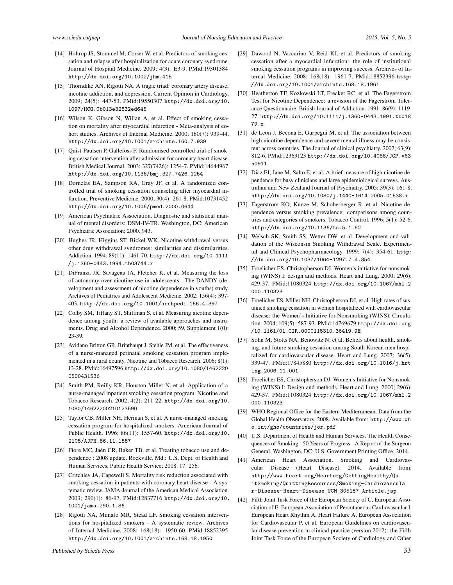- <span id="page-12-24"></span>[14] Holtrop JS, Stommel M, Corser W, et al. Predictors of smoking cessation and relapse after hospitalization for acute coronary syndrome. Journal of Hospital Medicine. 2009; 4(3): E3-9. PMid:19301384 <http://dx.doi.org/10.1002/jhm.415>
- <span id="page-12-0"></span>[15] Thorndike AN, Rigotti NA. A tragic triad: coronary artery disease, nicotine addiction, and depression. Current Opinion in Cardiology. 2009; 24(5): 447-53. PMid:19550307 [http://dx.doi.org/10.](http://dx.doi.org/10.1097/HCO.0b013e32832ed645) [1097/HCO.0b013e32832ed645](http://dx.doi.org/10.1097/HCO.0b013e32832ed645)
- <span id="page-12-1"></span>[16] Wilson K, Gibson N, Willan A, et al. Effect of smoking cessation on mortality after myocardial infarction - Meta-analysis of cohort studies. Archives of Internal Medicine. 2000; 160(7): 939-44. <http://dx.doi.org/10.1001/archinte.160.7.939>
- <span id="page-12-2"></span>[17] Quist-Paulsen P, Gallefoss F. Randomised controlled trial of smoking cessation intervention after admission for coronary heart disease. British Medical Journal. 2003; 327(7426): 1254-7. PMid:14644967 <http://dx.doi.org/10.1136/bmj.327.7426.1254>
- <span id="page-12-3"></span>[18] Dornelas EA, Sampson RA, Gray JF, et al. A randomized controlled trial of smoking cessation counseling after myocardial infarction. Preventive Medicine. 2000; 30(4): 261-8. PMid:10731452 <http://dx.doi.org/10.1006/pmed.2000.0644>
- <span id="page-12-4"></span>[19] American Psychiatric Association. Diagnostic and statistical manual of mental disorders: DSM-IV-TR. Washington, DC: American Psychiatric Association; 2000. 943.
- <span id="page-12-5"></span>[20] Hughes JR, Higgins ST, Bickel WK. Nicotine withdrawal versus other drug withdrawal syndromes: similarities and dissimilarities. Addiction. 1994; 89(11): 1461-70. [http://dx.doi.org/10.1111](http://dx.doi.org/10.1111/j.1360-0443.1994.tb03744.x) [/j.1360-0443.1994.tb03744.x](http://dx.doi.org/10.1111/j.1360-0443.1994.tb03744.x)
- <span id="page-12-6"></span>[21] DiFranza JR, Savageau JA, Fletcher K, et al. Measuring the loss of autonomy over nicotine use in adolescents - The DANDY (development and assessment of nicotine dependence in youths) study. Archives of Pediatrics and Adolescent Medicine. 2002; 156(4): 397- 403. <http://dx.doi.org/10.1001/archpedi.156.4.397>
- <span id="page-12-7"></span>[22] Colby SM, Tiffany ST, Shiffman S, et al. Measuring nicotine dependence among youth: a review of available approaches and instruments. Drug and Alcohol Dependence. 2000; 59, Supplement 1(0): 23-39.
- <span id="page-12-8"></span>[23] Avidano Britton GR, Brinthaupt J, Stehle JM, et al. The effectiveness of a nurse-managed perinatal smoking cessation program implemented in a rural county. Nicotine and Tobacco Research. 2006; 8(1): 13-28. PMid:16497596 [http://dx.doi.org/10.1080/1462220](http://dx.doi.org/10.1080/14622200500431536) [0500431536](http://dx.doi.org/10.1080/14622200500431536)
- [24] Smith PM, Reilly KR, Houston Miller N, et al. Application of a nurse-managed inpatient smoking cessation program. Nicotine and Tobacco Research. 2002; 4(2): 211-22. [http://dx.doi.org/10.](http://dx.doi.org/10.1080/14622200210123590) [1080/14622200210123590](http://dx.doi.org/10.1080/14622200210123590)
- <span id="page-12-9"></span>[25] Taylor CB, Miller NH, Herman S, et al. A nurse-managed smoking cessation program for hospitalized smokers. American Journal of Public Health. 1996; 86(11): 1557-60. [http://dx.doi.org/10.](http://dx.doi.org/10.2105/AJPH.86.11.1557) [2105/AJPH.86.11.1557](http://dx.doi.org/10.2105/AJPH.86.11.1557)
- <span id="page-12-10"></span>[26] Fiore MC, Jaén CR, Baker TB, et al. Treating tobacco use and dependence : 2008 update. Rockville, Md.: U.S. Dept. of Health and Human Services, Public Health Service; 2008. 17: 256.
- <span id="page-12-11"></span>[27] Critchley JA, Capewell S. Mortality risk reduction associated with smoking cessation in patients with coronary heart disease - A systematic review. JAMA-Journal of the American Medical Association. 2003; 290(1): 86-97. PMid:12837716 [http://dx.doi.org/10.](http://dx.doi.org/10.1001/jama.290.1.86) [1001/jama.290.1.86](http://dx.doi.org/10.1001/jama.290.1.86)
- <span id="page-12-12"></span>[28] Rigotti NA, Munafo MR, Stead LF. Smoking cessation interventions for hospitalized smokers - A systematic review. Archives of Internal Medicine. 2008; 168(18): 1950-60. PMid:18852395 <http://dx.doi.org/10.1001/archinte.168.18.1950>
- <span id="page-12-13"></span>[29] Dawood N, Vaccarino V, Reid KJ, et al. Predictors of smoking cessation after a myocardial infarction: the role of institutional smoking cessation programs in improving success. Archives of Internal Medicine. 2008; 168(18): 1961-7. PMid:18852396 [http:](http://dx.doi.org/10.1001/archinte.168.18.1961) [//dx.doi.org/10.1001/archinte.168.18.1961](http://dx.doi.org/10.1001/archinte.168.18.1961)
- <span id="page-12-14"></span>[30] Heatherton TF, Kozlowski LT, Frecker RC, et al. The Fagerström Test for Nicotine Dependence: a revision of the Fagerström Tolerance Questionnaire. British Journal of Addiction. 1991; 86(9): 1119- 27. [http://dx.doi.org/10.1111/j.1360-0443.1991.tb018](http://dx.doi.org/10.1111/j.1360-0443.1991.tb01879.x) [79.x](http://dx.doi.org/10.1111/j.1360-0443.1991.tb01879.x)
- <span id="page-12-15"></span>[31] de Leon J, Becona E, Gurpegui M, et al. The association between high nicotine dependence and severe mental illness may be consistent across countries. The Journal of clinical psychiatry. 2002; 63(9): 812-6. PMid:12363123 [http://dx.doi.org/10.4088/JCP.v63](http://dx.doi.org/10.4088/JCP.v63n0911) [n0911](http://dx.doi.org/10.4088/JCP.v63n0911)
- [32] Diaz FJ, Jane M, Salto E, et al. A brief measure of high nicotine dependence for busy clinicians and large epidemiological surveys. Australian and New Zealand Journal of Psychiatry. 2005; 39(3): 161-8. <http://dx.doi.org/10.1080/j.1440-1614.2005.01538.x>
- <span id="page-12-16"></span>[33] Fagerstrom KO, Kunze M, Schoberberger R, et al. Nicotine dependence versus smoking prevalence: comparisons among countries and categories of smokers. Tobacco Control. 1996; 5(1): 52-6. <http://dx.doi.org/10.1136/tc.5.1.52>
- <span id="page-12-17"></span>[34] Welsch SK, Smith SS, Wetter DW, et al. Development and validation of the Wisconsin Smoking Withdrawal Scale. Experimental and Clinical Psychopharmacology. 1999; 7(4): 354-61. [http:](http://dx.doi.org/10.1037/1064-1297.7.4.354) [//dx.doi.org/10.1037/1064-1297.7.4.354](http://dx.doi.org/10.1037/1064-1297.7.4.354)
- <span id="page-12-18"></span>[35] Froelicher ES, Christopherson DJ. Women's initiative for nonsmoking (WINS) I: design and methods. Heart and Lung. 2000; 29(6): 429-37. PMid:11080324 [http://dx.doi.org/10.1067/mhl.2](http://dx.doi.org/10.1067/mhl.2000.110323) [000.110323](http://dx.doi.org/10.1067/mhl.2000.110323)
- [36] Froelicher ES, Miller NH, Christopherson DJ, et al. High rates of sustained smoking cessation in women hospitalized with cardiovascular disease: the Women's Initiative for Nonsmoking (WINS). Circulation. 2004; 109(5): 587-93. PMid:14769679 [http://dx.doi.org](http://dx.doi.org/10.1161/01.CIR.0000115310.36419.9E) [/10.1161/01.CIR.0000115310.36419.9E](http://dx.doi.org/10.1161/01.CIR.0000115310.36419.9E)
- <span id="page-12-19"></span>[37] Sohn M, Stotts NA, Benowitz N, et al. Beliefs about health, smoking, and future smoking cessation among South Korean men hospitalized for cardiovascular disease. Heart and Lung. 2007; 36(5): 339-47. PMid:17845880 [http://dx.doi.org/10.1016/j.hrt](http://dx.doi.org/10.1016/j.hrtlng.2006.11.001) [lng.2006.11.001](http://dx.doi.org/10.1016/j.hrtlng.2006.11.001)
- <span id="page-12-20"></span>[38] Froelicher ES, Christopherson DJ. Women's Initiative for Nonsmoking (WINS) I: Design and methods. Heart and Lung. 2000; 29(6): 429-37. PMid:11080324 [http://dx.doi.org/10.1067/mhl.2](http://dx.doi.org/10.1067/mhl.2000.110323) [000.110323](http://dx.doi.org/10.1067/mhl.2000.110323)
- <span id="page-12-21"></span>[39] WHO Regional Office for the Eastern Mediterranean. Data from the Global Health Observatory. 2008. Available from: [http://www.wh](http://www.who.int/gho/countries/jor.pdf ) [o.int/gho/countries/jor.pdf](http://www.who.int/gho/countries/jor.pdf )
- <span id="page-12-22"></span>[40] U.S. Department of Health and Human Services. The Health Consequences of Smoking - 50 Years of Progress - A Report of the Surgeon General. Washington, DC: U.S. Government Printing Office; 2014.
- <span id="page-12-23"></span>[41] American Heart Association. Smoking and Cardiovascular Disease (Heart Disease). 2014. Available from: [http://www.heart.org/Heartorg/GettingHealthy/Qu](http://www.heart.org/Heartorg/GettingHealthy/QuitSmoking/QuittingResources/Smoking-Cardiovascular-Disease-Heart-Disease_UCM_305187_Article.jsp) [itSmoking/QuittingResources/Smoking-Cardiovascula](http://www.heart.org/Heartorg/GettingHealthy/QuitSmoking/QuittingResources/Smoking-Cardiovascular-Disease-Heart-Disease_UCM_305187_Article.jsp) [r-Disease-Heart-Disease\\_UCM\\_305187\\_Article.jsp](http://www.heart.org/Heartorg/GettingHealthy/QuitSmoking/QuittingResources/Smoking-Cardiovascular-Disease-Heart-Disease_UCM_305187_Article.jsp)
- <span id="page-12-25"></span>[42] Fifth Joint Task Force of the European Society of C, European Association of E, European Association of Percutaneous Cardiovascular I, European Heart Rhythm A, Heart Failure A, European Association for Cardiovascular P, et al. European Guidelines on cardiovascular disease prevention in clinical practice (version 2012): the Fifth Joint Task Force of the European Society of Cardiology and Other